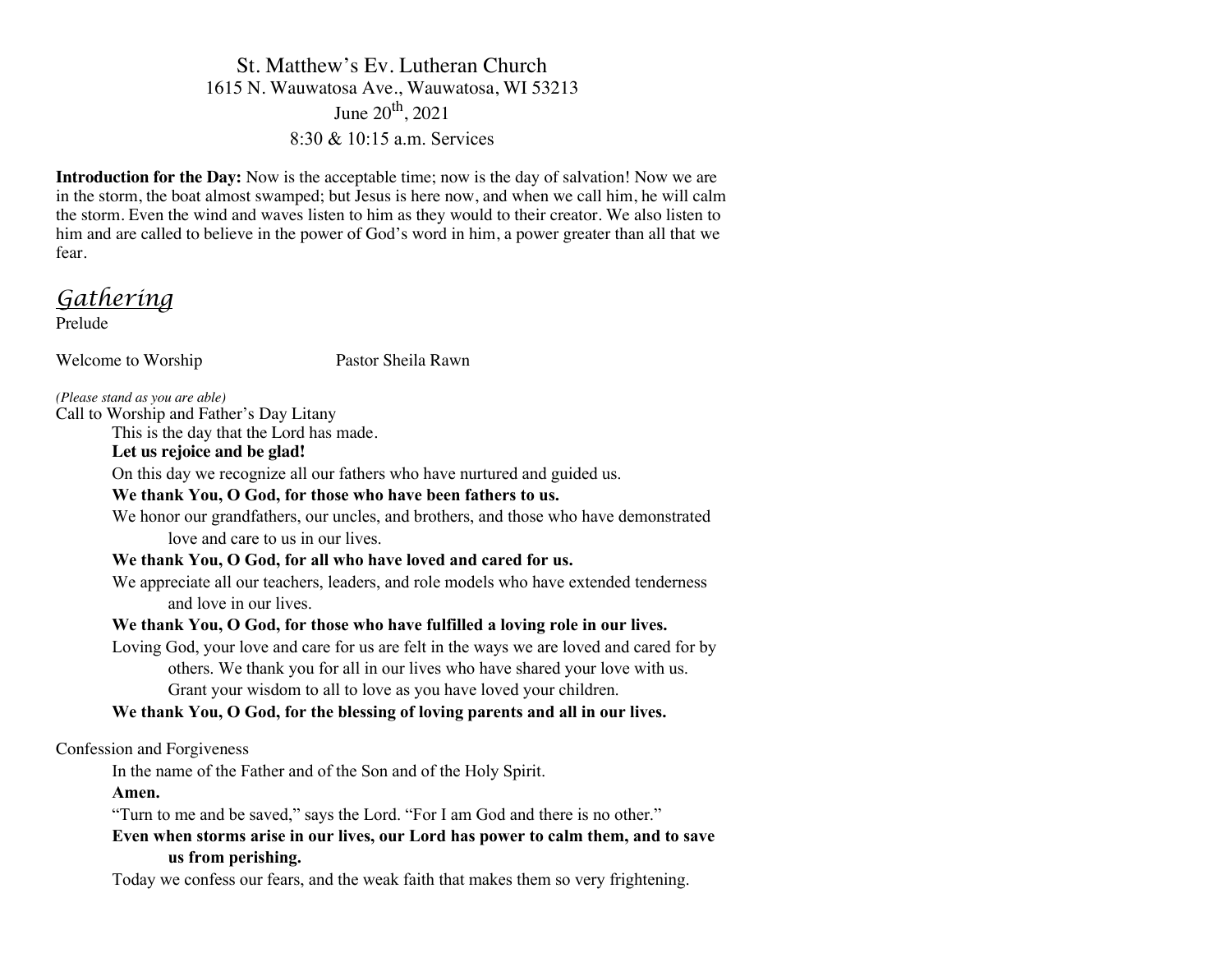# St. Matthew's Ev. Lutheran Church 1615 N. Wauwatosa Ave., Wauwatosa, WI 53213 June  $20^{th}$ ,  $2021$ 8:30 & 10:15 a.m. Services

**Introduction for the Day:** Now is the acceptable time; now is the day of salvation! Now we are in the storm, the boat almost swamped; but Jesus is here now, and when we call him, he will calm the storm. Even the wind and waves listen to him as they would to their creator. We also listen to him and are called to believe in the power of God's word in him, a power greater than all that we fear.

*Gathering*

Prelude

Welcome to Worship Pastor Sheila Rawn

*(Please stand as you are able)*

Call to Worship and Father's Day Litany

This is the day that the Lord has made.

# **Let us rejoice and be glad!**

On this day we recognize all our fathers who have nurtured and guided us.

# **We thank You, O God, for those who have been fathers to us.**

We honor our grandfathers, our uncles, and brothers, and those who have demonstrated love and care to us in our lives.

# **We thank You, O God, for all who have loved and cared for us.**

We appreciate all our teachers, leaders, and role models who have extended tenderness and love in our lives.

# **We thank You, O God, for those who have fulfilled a loving role in our lives.**

Loving God, your love and care for us are felt in the ways we are loved and cared for by others. We thank you for all in our lives who have shared your love with us. Grant your wisdom to all to love as you have loved your children.

# **We thank You, O God, for the blessing of loving parents and all in our lives.**

Confession and Forgiveness

In the name of the Father and of the Son and of the Holy Spirit.

**Amen.**

"Turn to me and be saved," says the Lord. "For I am God and there is no other."

**Even when storms arise in our lives, our Lord has power to calm them, and to save us from perishing.**

Today we confess our fears, and the weak faith that makes them so very frightening.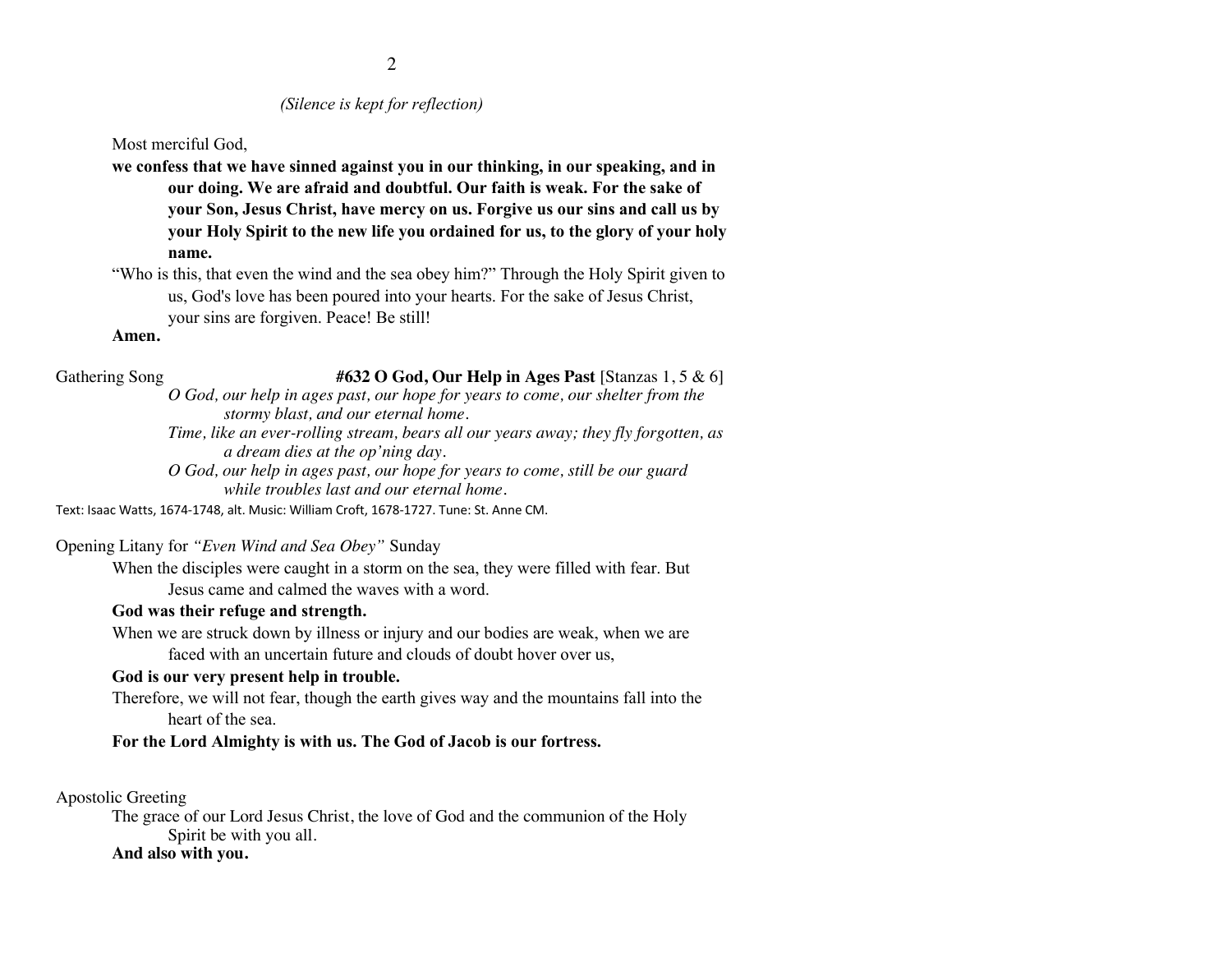## *(Silence is kept for reflection)*

Most merciful God,

**we confess that we have sinned against you in our thinking, in our speaking, and in our doing. We are afraid and doubtful. Our faith is weak. For the sake of your Son, Jesus Christ, have mercy on us. Forgive us our sins and call us by your Holy Spirit to the new life you ordained for us, to the glory of your holy name.**

"Who is this, that even the wind and the sea obey him?" Through the Holy Spirit given to us, God's love has been poured into your hearts. For the sake of Jesus Christ, your sins are forgiven. Peace! Be still!

### **Amen.**

Gathering Song #632 O God, Our Help in Ages Past [Stanzas 1, 5 & 6]

*O God, our help in ages past, our hope for years to come, our shelter from the stormy blast, and our eternal home.*

*Time, like an ever-rolling stream, bears all our years away; they fly forgotten, as a dream dies at the op'ning day.*

*O God, our help in ages past, our hope for years to come, still be our guard while troubles last and our eternal home.* 

Text: Isaac Watts, 1674-1748, alt. Music: William Croft, 1678-1727. Tune: St. Anne CM.

Opening Litany for *"Even Wind and Sea Obey"* Sunday

When the disciples were caught in a storm on the sea, they were filled with fear. But Jesus came and calmed the waves with a word.

### **God was their refuge and strength.**

When we are struck down by illness or injury and our bodies are weak, when we are faced with an uncertain future and clouds of doubt hover over us,

### **God is our very present help in trouble.**

Therefore, we will not fear, though the earth gives way and the mountains fall into the heart of the sea.

**For the Lord Almighty is with us. The God of Jacob is our fortress.**

Apostolic Greeting

The grace of our Lord Jesus Christ, the love of God and the communion of the Holy Spirit be with you all.

### **And also with you.**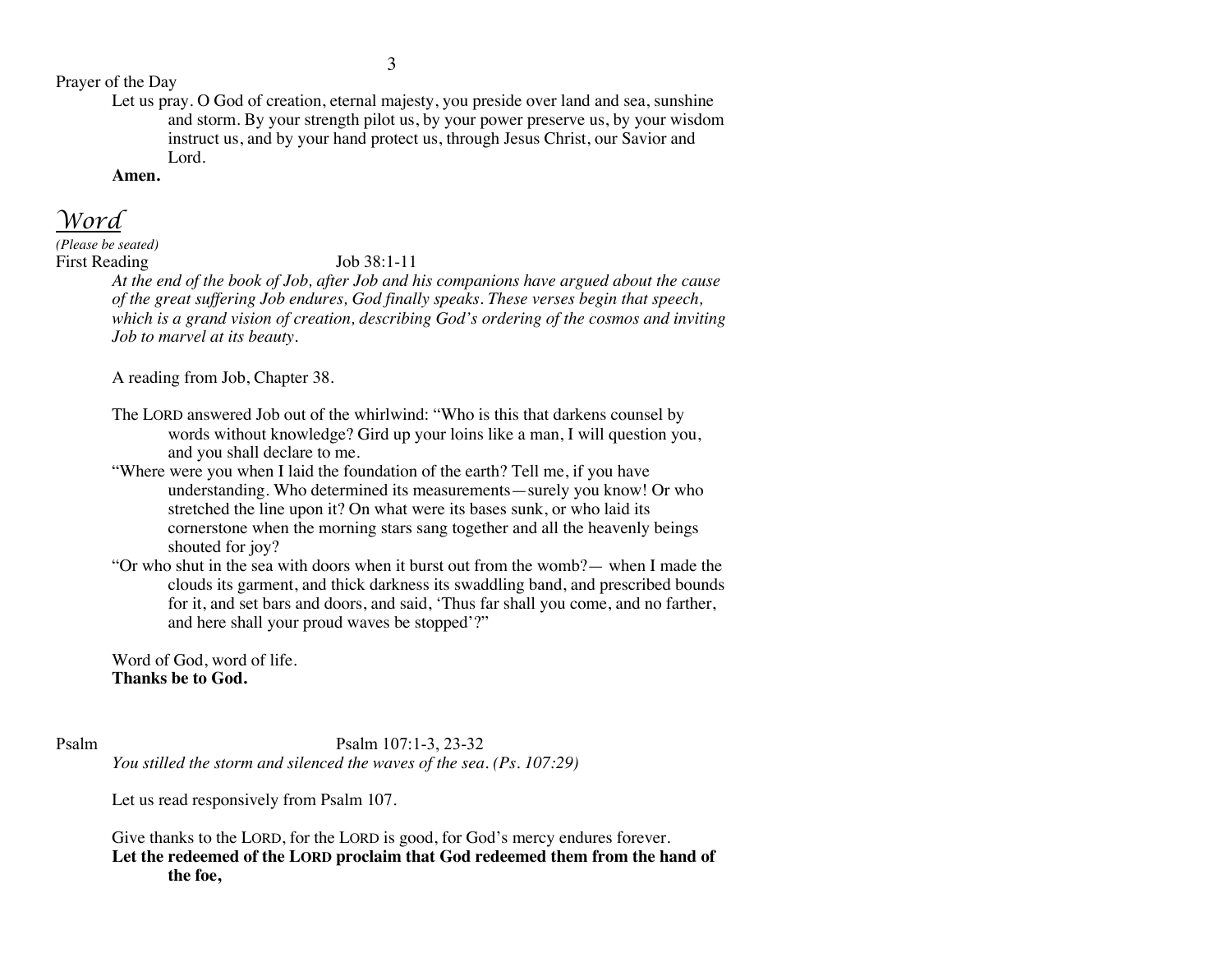Prayer of the Day

Let us pray. O God of creation, eternal majesty, you preside over land and sea, sunshine and storm. By your strength pilot us, by your power preserve us, by your wisdom instruct us, and by your hand protect us, through Jesus Christ, our Savior and Lord.

**Amen.**

*Word*

*(Please be seated)* First Reading Job 38:1-11

*At the end of the book of Job, after Job and his companions have argued about the cause of the great suffering Job endures, God finally speaks. These verses begin that speech, which is a grand vision of creation, describing God's ordering of the cosmos and inviting Job to marvel at its beauty.*

A reading from Job, Chapter 38.

- The LORD answered Job out of the whirlwind: "Who is this that darkens counsel by words without knowledge? Gird up your loins like a man, I will question you, and you shall declare to me.
- "Where were you when I laid the foundation of the earth? Tell me, if you have understanding. Who determined its measurements—surely you know! Or who stretched the line upon it? On what were its bases sunk, or who laid its cornerstone when the morning stars sang together and all the heavenly beings shouted for joy?
- "Or who shut in the sea with doors when it burst out from the womb?— when I made the clouds its garment, and thick darkness its swaddling band, and prescribed bounds for it, and set bars and doors, and said, 'Thus far shall you come, and no farther, and here shall your proud waves be stopped'?"

Word of God, word of life. **Thanks be to God.**

Psalm Psalm 107:1-3, 23-32 *You stilled the storm and silenced the waves of the sea. (Ps. 107:29)*

Let us read responsively from Psalm 107.

Give thanks to the LORD, for the LORD is good, for God's mercy endures forever. **Let the redeemed of the LORD proclaim that God redeemed them from the hand of the foe,**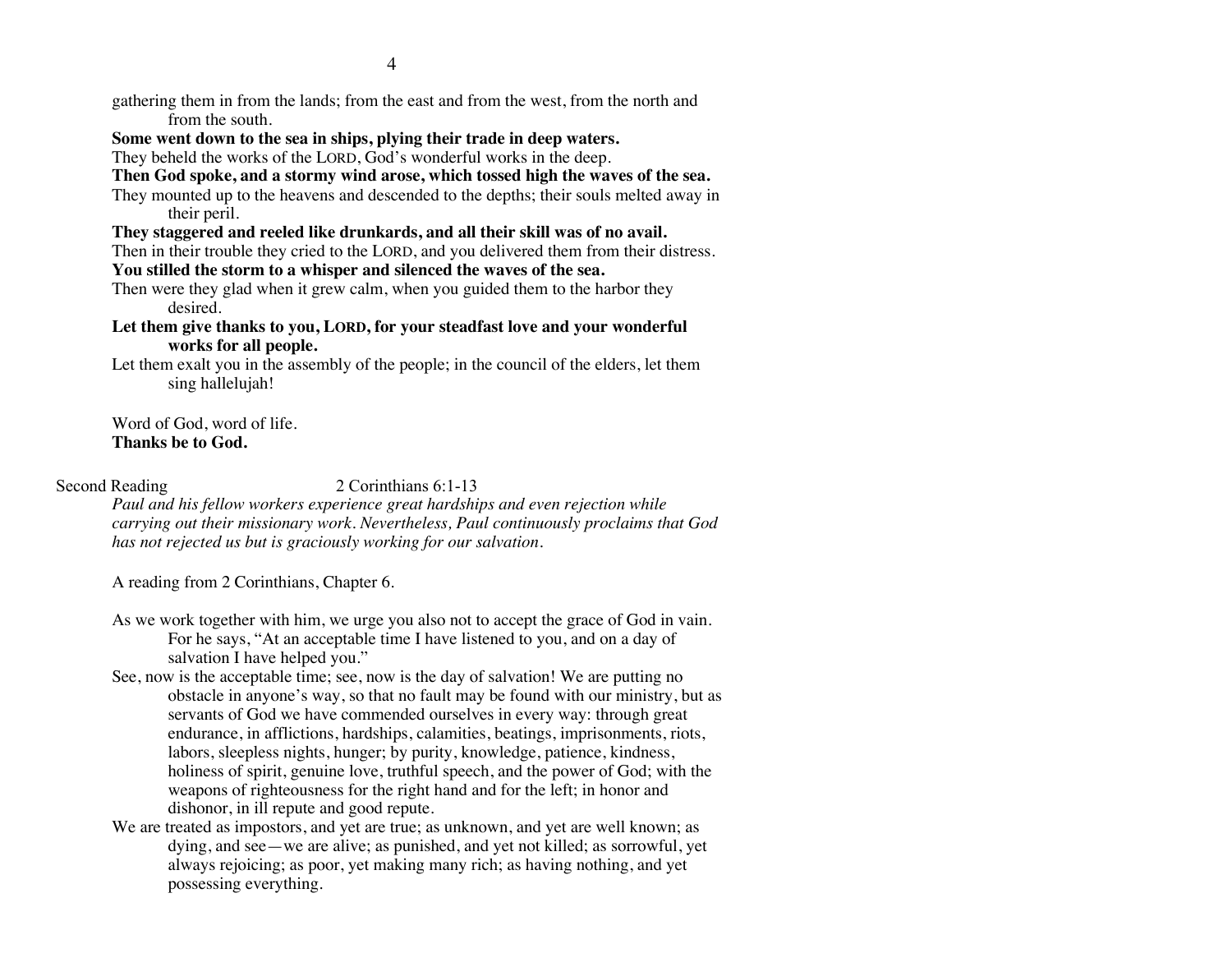- gathering them in from the lands; from the east and from the west, from the north and from the south.
- **Some went down to the sea in ships, plying their trade in deep waters.**

They beheld the works of the LORD, God's wonderful works in the deep.

- **Then God spoke, and a stormy wind arose, which tossed high the waves of the sea.**
- They mounted up to the heavens and descended to the depths; their souls melted away in their peril.
- **They staggered and reeled like drunkards, and all their skill was of no avail.**

Then in their trouble they cried to the LORD, and you delivered them from their distress.

- **You stilled the storm to a whisper and silenced the waves of the sea.**
- Then were they glad when it grew calm, when you guided them to the harbor they desired.
- **Let them give thanks to you, LORD, for your steadfast love and your wonderful works for all people.**
- Let them exalt you in the assembly of the people; in the council of the elders, let them sing hallelujah!

Word of God, word of life. **Thanks be to God.**

### Second Reading 2 Corinthians 6:1-13

*Paul and his fellow workers experience great hardships and even rejection while carrying out their missionary work. Nevertheless, Paul continuously proclaims that God has not rejected us but is graciously working for our salvation.*

A reading from 2 Corinthians, Chapter 6.

- As we work together with him, we urge you also not to accept the grace of God in vain. For he says, "At an acceptable time I have listened to you, and on a day of salvation I have helped you."
- See, now is the acceptable time; see, now is the day of salvation! We are putting no obstacle in anyone's way, so that no fault may be found with our ministry, but as servants of God we have commended ourselves in every way: through great endurance, in afflictions, hardships, calamities, beatings, imprisonments, riots, labors, sleepless nights, hunger; by purity, knowledge, patience, kindness, holiness of spirit, genuine love, truthful speech, and the power of God; with the weapons of righteousness for the right hand and for the left; in honor and dishonor, in ill repute and good repute.
- We are treated as impostors, and yet are true; as unknown, and yet are well known; as dying, and see—we are alive; as punished, and yet not killed; as sorrowful, yet always rejoicing; as poor, yet making many rich; as having nothing, and yet possessing everything.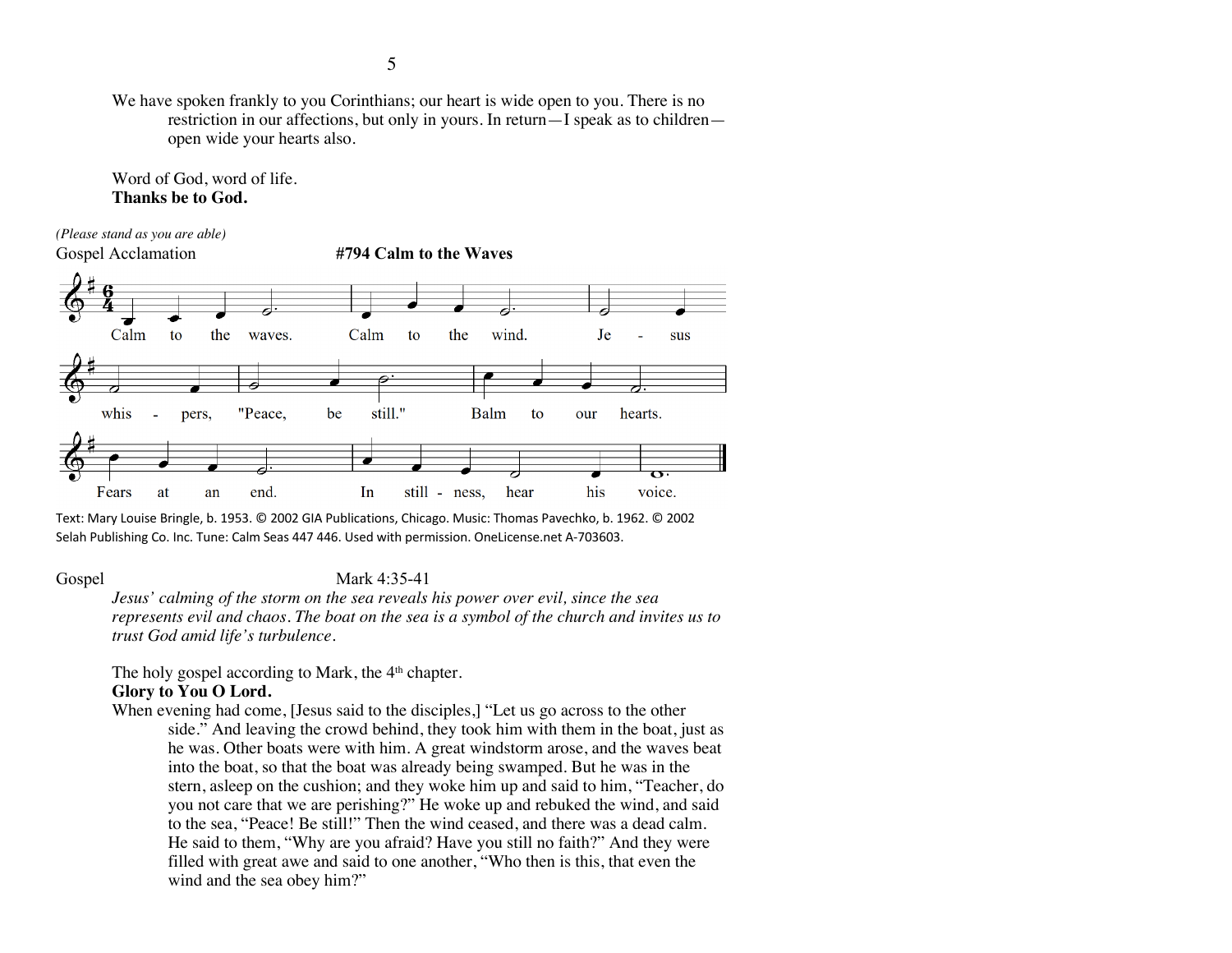We have spoken frankly to you Corinthians; our heart is wide open to you. There is no restriction in our affections, but only in yours. In return—I speak as to children open wide your hearts also.

Word of God, word of life. **Thanks be to God.**

*(Please stand as you are able)* Gospel Acclamation **#794 Calm to the Waves**



Text: Mary Louise Bringle, b. 1953. © 2002 GIA Publications, Chicago. Music: Thomas Pavechko, b. 1962. © 2002 Selah Publishing Co. Inc. Tune: Calm Seas 447 446. Used with permission. OneLicense.net A-703603.

### Gospel Mark 4:35-41

*Jesus' calming of the storm on the sea reveals his power over evil, since the sea represents evil and chaos. The boat on the sea is a symbol of the church and invites us to trust God amid life's turbulence.*

The holy gospel according to Mark, the  $4<sup>th</sup>$  chapter.

# **Glory to You O Lord.**

When evening had come, [Jesus said to the disciples,] "Let us go across to the other side." And leaving the crowd behind, they took him with them in the boat, just as he was. Other boats were with him. A great windstorm arose, and the waves beat into the boat, so that the boat was already being swamped. But he was in the stern, asleep on the cushion; and they woke him up and said to him, "Teacher, do you not care that we are perishing?" He woke up and rebuked the wind, and said to the sea, "Peace! Be still!" Then the wind ceased, and there was a dead calm. He said to them, "Why are you afraid? Have you still no faith?" And they were filled with great awe and said to one another, "Who then is this, that even the wind and the sea obey him?"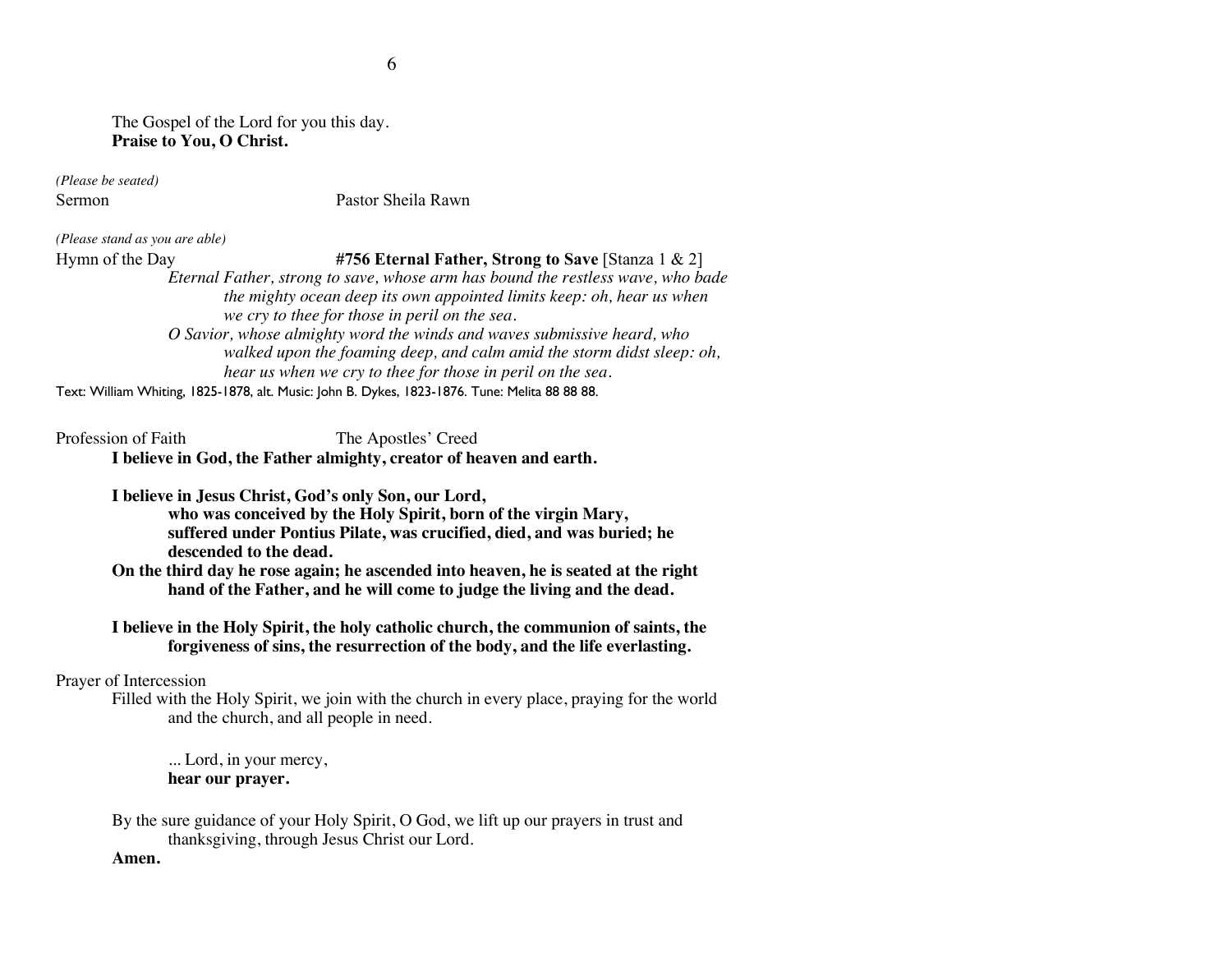The Gospel of the Lord for you this day. **Praise to You, O Christ.**

*(Please be seated)*

Sermon Pastor Sheila Rawn

*(Please stand as you are able)*

Hymn of the Day **#756 Eternal Father, Strong to Save** [Stanza 1 & 2]

*Eternal Father, strong to save, whose arm has bound the restless wave, who bade the mighty ocean deep its own appointed limits keep: oh, hear us when we cry to thee for those in peril on the sea.*

*O Savior, whose almighty word the winds and waves submissive heard, who walked upon the foaming deep, and calm amid the storm didst sleep: oh, hear us when we cry to thee for those in peril on the sea.*

Text: William Whiting, 1825-1878, alt. Music: John B. Dykes, 1823-1876. Tune: Melita 88 88 88.

Profession of Faith The Apostles' Creed **I believe in God, the Father almighty, creator of heaven and earth.**

**I believe in Jesus Christ, God's only Son, our Lord, who was conceived by the Holy Spirit, born of the virgin Mary,**

**suffered under Pontius Pilate, was crucified, died, and was buried; he descended to the dead.**

**On the third day he rose again; he ascended into heaven, he is seated at the right hand of the Father, and he will come to judge the living and the dead.**

**I believe in the Holy Spirit, the holy catholic church, the communion of saints, the forgiveness of sins, the resurrection of the body, and the life everlasting.**

Prayer of Intercession

Filled with the Holy Spirit, we join with the church in every place, praying for the world and the church, and all people in need.

... Lord, in your mercy, **hear our prayer.**

By the sure guidance of your Holy Spirit, O God, we lift up our prayers in trust and thanksgiving, through Jesus Christ our Lord.

### **Amen.**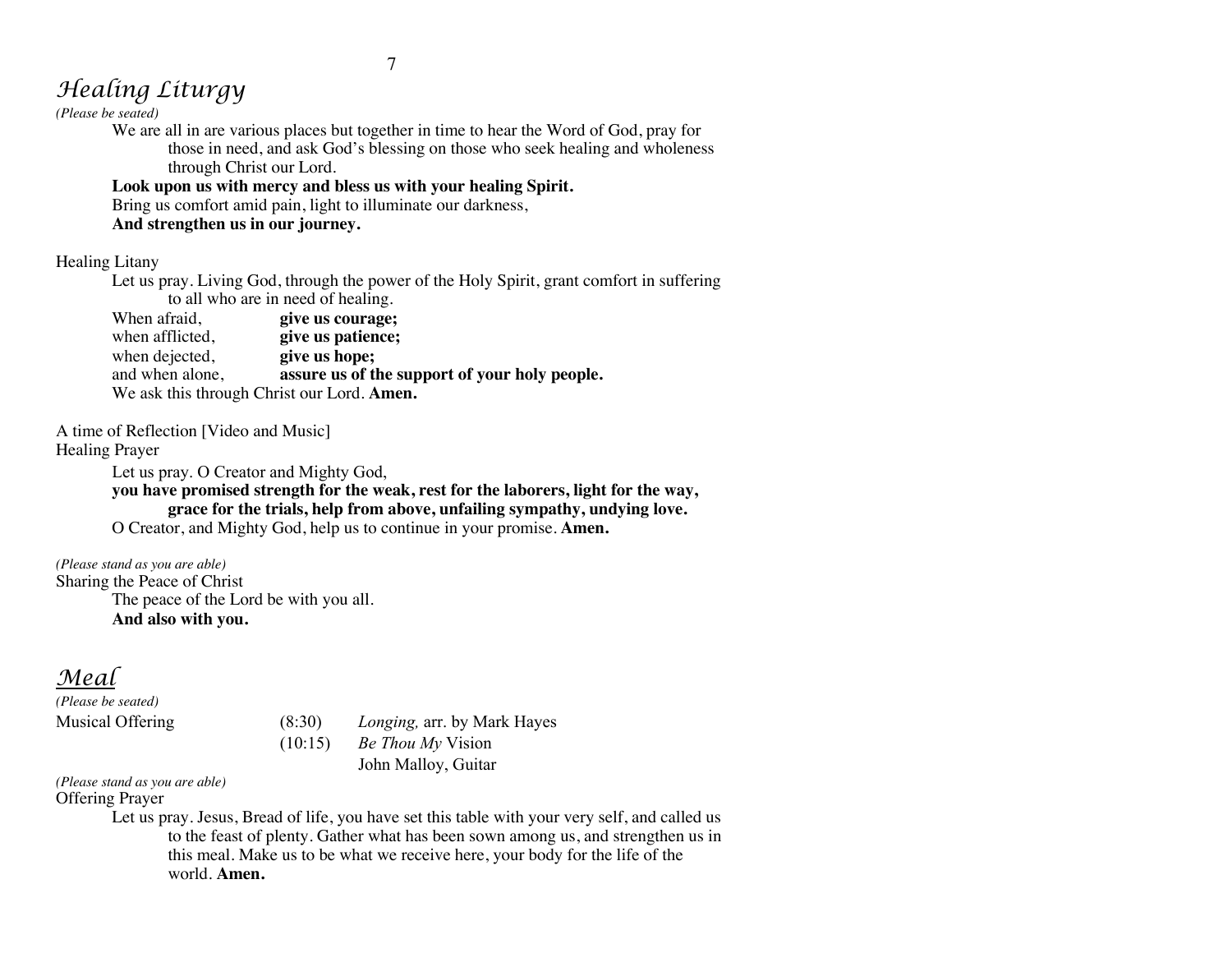### 7

# *Healing Liturgy*

*(Please be seated)*

We are all in are various places but together in time to hear the Word of God, pray for those in need, and ask God's blessing on those who seek healing and wholeness through Christ our Lord.

**Look upon us with mercy and bless us with your healing Spirit.** Bring us comfort amid pain, light to illuminate our darkness,

**And strengthen us in our journey.**

Healing Litany

Let us pray. Living God, through the power of the Holy Spirit, grant comfort in suffering to all who are in need of healing.

When afraid, **give us courage;**<br>when afflicted. **give us patience:** give us patience;<br>give us hope; when dejected, and when alone, **assure us of the support of your holy people.** We ask this through Christ our Lord. **Amen.**

A time of Reflection [Video and Music]

Healing Prayer

Let us pray. O Creator and Mighty God,

**you have promised strength for the weak, rest for the laborers, light for the way, grace for the trials, help from above, unfailing sympathy, undying love.** O Creator, and Mighty God, help us to continue in your promise. **Amen.**

*(Please stand as you are able)* Sharing the Peace of Christ The peace of the Lord be with you all. **And also with you.**

# *Meal*

*(Please be seated)*

Musical Offering (8:30) *Longing,* arr. by Mark Hayes (10:15) *Be Thou My* Vision John Malloy, Guitar

*(Please stand as you are able)* Offering Prayer

> Let us pray. Jesus, Bread of life, you have set this table with your very self, and called us to the feast of plenty. Gather what has been sown among us, and strengthen us in this meal. Make us to be what we receive here, your body for the life of the world. **Amen.**